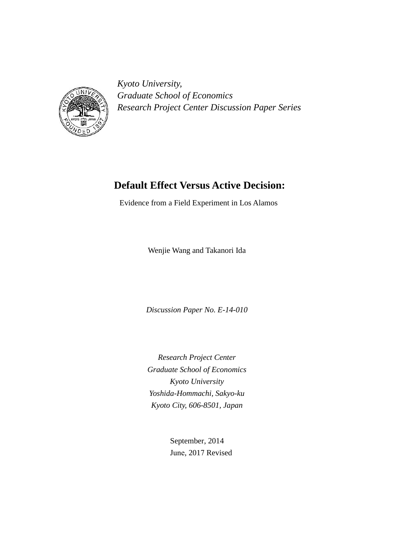

*Kyoto University, Graduate School of Economics Research Project Center Discussion Paper Series*

# **Default Effect Versus Active Decision:**

Evidence from a Field Experiment in Los Alamos

Wenjie Wang and Takanori Ida

*Discussion Paper No. E-14-010* 

*Research Project Center Graduate School of Economics Kyoto University Yoshida-Hommachi, Sakyo-ku Kyoto City, 606-8501, Japan* 

> September, 2014 June, 2017 Revised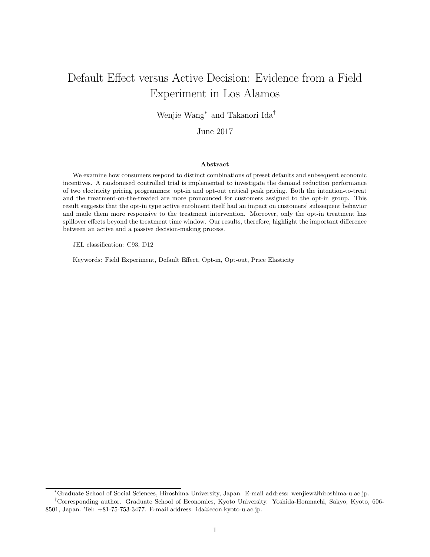# Default Effect versus Active Decision: Evidence from a Field Experiment in Los Alamos

Wenjie Wang<sup>∗</sup> and Takanori Ida†

June 2017

#### Abstract

We examine how consumers respond to distinct combinations of preset defaults and subsequent economic incentives. A randomised controlled trial is implemented to investigate the demand reduction performance of two electricity pricing programmes: opt-in and opt-out critical peak pricing. Both the intention-to-treat and the treatment-on-the-treated are more pronounced for customers assigned to the opt-in group. This result suggests that the opt-in type active enrolment itself had an impact on customers' subsequent behavior and made them more responsive to the treatment intervention. Moreover, only the opt-in treatment has spillover effects beyond the treatment time window. Our results, therefore, highlight the important difference between an active and a passive decision-making process.

JEL classification: C93, D12

Keywords: Field Experiment, Default Effect, Opt-in, Opt-out, Price Elasticity

<sup>∗</sup>Graduate School of Social Sciences, Hiroshima University, Japan. E-mail address: wenjiew@hiroshima-u.ac.jp.

<sup>†</sup>Corresponding author. Graduate School of Economics, Kyoto University. Yoshida-Honmachi, Sakyo, Kyoto, 606- 8501, Japan. Tel: +81-75-753-3477. E-mail address: ida@econ.kyoto-u.ac.jp.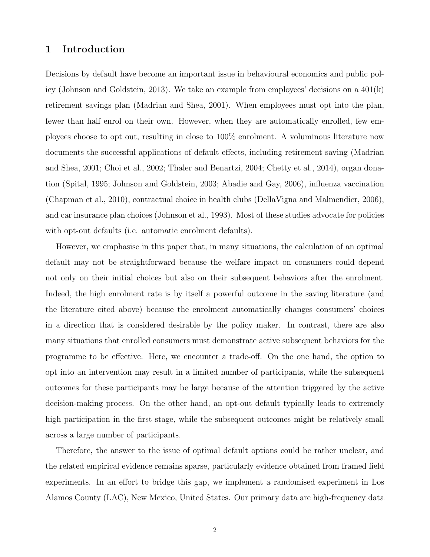# 1 Introduction

Decisions by default have become an important issue in behavioural economics and public policy (Johnson and Goldstein, 2013). We take an example from employees' decisions on a 401(k) retirement savings plan (Madrian and Shea, 2001). When employees must opt into the plan, fewer than half enrol on their own. However, when they are automatically enrolled, few employees choose to opt out, resulting in close to 100% enrolment. A voluminous literature now documents the successful applications of default effects, including retirement saving (Madrian and Shea, 2001; Choi et al., 2002; Thaler and Benartzi, 2004; Chetty et al., 2014), organ donation (Spital, 1995; Johnson and Goldstein, 2003; Abadie and Gay, 2006), influenza vaccination (Chapman et al., 2010), contractual choice in health clubs (DellaVigna and Malmendier, 2006), and car insurance plan choices (Johnson et al., 1993). Most of these studies advocate for policies with opt-out defaults (i.e. automatic enrolment defaults).

However, we emphasise in this paper that, in many situations, the calculation of an optimal default may not be straightforward because the welfare impact on consumers could depend not only on their initial choices but also on their subsequent behaviors after the enrolment. Indeed, the high enrolment rate is by itself a powerful outcome in the saving literature (and the literature cited above) because the enrolment automatically changes consumers' choices in a direction that is considered desirable by the policy maker. In contrast, there are also many situations that enrolled consumers must demonstrate active subsequent behaviors for the programme to be effective. Here, we encounter a trade-off. On the one hand, the option to opt into an intervention may result in a limited number of participants, while the subsequent outcomes for these participants may be large because of the attention triggered by the active decision-making process. On the other hand, an opt-out default typically leads to extremely high participation in the first stage, while the subsequent outcomes might be relatively small across a large number of participants.

Therefore, the answer to the issue of optimal default options could be rather unclear, and the related empirical evidence remains sparse, particularly evidence obtained from framed field experiments. In an effort to bridge this gap, we implement a randomised experiment in Los Alamos County (LAC), New Mexico, United States. Our primary data are high-frequency data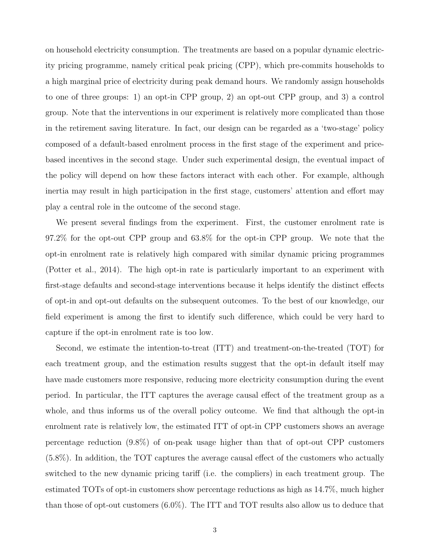on household electricity consumption. The treatments are based on a popular dynamic electricity pricing programme, namely critical peak pricing (CPP), which pre-commits households to a high marginal price of electricity during peak demand hours. We randomly assign households to one of three groups: 1) an opt-in CPP group, 2) an opt-out CPP group, and 3) a control group. Note that the interventions in our experiment is relatively more complicated than those in the retirement saving literature. In fact, our design can be regarded as a 'two-stage' policy composed of a default-based enrolment process in the first stage of the experiment and pricebased incentives in the second stage. Under such experimental design, the eventual impact of the policy will depend on how these factors interact with each other. For example, although inertia may result in high participation in the first stage, customers' attention and effort may play a central role in the outcome of the second stage.

We present several findings from the experiment. First, the customer enrolment rate is 97.2% for the opt-out CPP group and 63.8% for the opt-in CPP group. We note that the opt-in enrolment rate is relatively high compared with similar dynamic pricing programmes (Potter et al., 2014). The high opt-in rate is particularly important to an experiment with first-stage defaults and second-stage interventions because it helps identify the distinct effects of opt-in and opt-out defaults on the subsequent outcomes. To the best of our knowledge, our field experiment is among the first to identify such difference, which could be very hard to capture if the opt-in enrolment rate is too low.

Second, we estimate the intention-to-treat (ITT) and treatment-on-the-treated (TOT) for each treatment group, and the estimation results suggest that the opt-in default itself may have made customers more responsive, reducing more electricity consumption during the event period. In particular, the ITT captures the average causal effect of the treatment group as a whole, and thus informs us of the overall policy outcome. We find that although the opt-in enrolment rate is relatively low, the estimated ITT of opt-in CPP customers shows an average percentage reduction (9.8%) of on-peak usage higher than that of opt-out CPP customers (5.8%). In addition, the TOT captures the average causal effect of the customers who actually switched to the new dynamic pricing tariff (i.e. the compliers) in each treatment group. The estimated TOTs of opt-in customers show percentage reductions as high as 14.7%, much higher than those of opt-out customers (6.0%). The ITT and TOT results also allow us to deduce that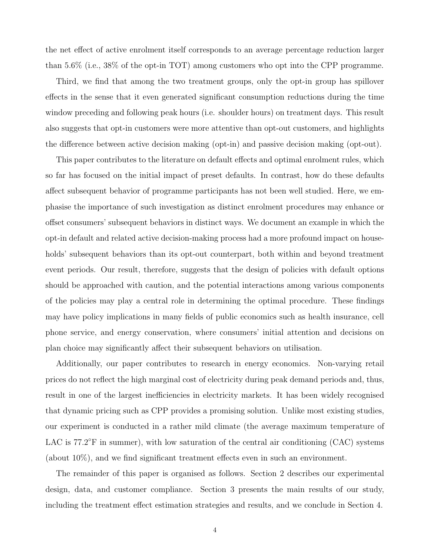the net effect of active enrolment itself corresponds to an average percentage reduction larger than 5.6% (i.e., 38% of the opt-in TOT) among customers who opt into the CPP programme.

Third, we find that among the two treatment groups, only the opt-in group has spillover effects in the sense that it even generated significant consumption reductions during the time window preceding and following peak hours (i.e. shoulder hours) on treatment days. This result also suggests that opt-in customers were more attentive than opt-out customers, and highlights the difference between active decision making (opt-in) and passive decision making (opt-out).

This paper contributes to the literature on default effects and optimal enrolment rules, which so far has focused on the initial impact of preset defaults. In contrast, how do these defaults affect subsequent behavior of programme participants has not been well studied. Here, we emphasise the importance of such investigation as distinct enrolment procedures may enhance or offset consumers' subsequent behaviors in distinct ways. We document an example in which the opt-in default and related active decision-making process had a more profound impact on households' subsequent behaviors than its opt-out counterpart, both within and beyond treatment event periods. Our result, therefore, suggests that the design of policies with default options should be approached with caution, and the potential interactions among various components of the policies may play a central role in determining the optimal procedure. These findings may have policy implications in many fields of public economics such as health insurance, cell phone service, and energy conservation, where consumers' initial attention and decisions on plan choice may significantly affect their subsequent behaviors on utilisation.

Additionally, our paper contributes to research in energy economics. Non-varying retail prices do not reflect the high marginal cost of electricity during peak demand periods and, thus, result in one of the largest inefficiencies in electricity markets. It has been widely recognised that dynamic pricing such as CPP provides a promising solution. Unlike most existing studies, our experiment is conducted in a rather mild climate (the average maximum temperature of LAC is 77.2°F in summer), with low saturation of the central air conditioning (CAC) systems (about 10%), and we find significant treatment effects even in such an environment.

The remainder of this paper is organised as follows. Section 2 describes our experimental design, data, and customer compliance. Section 3 presents the main results of our study, including the treatment effect estimation strategies and results, and we conclude in Section 4.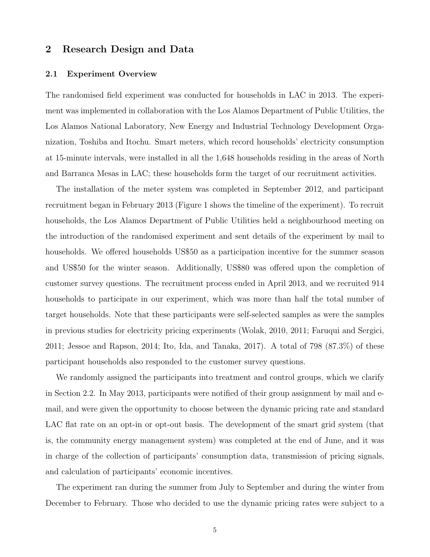# 2 Research Design and Data

## 2.1 Experiment Overview

The randomised field experiment was conducted for households in LAC in 2013. The experiment was implemented in collaboration with the Los Alamos Department of Public Utilities, the Los Alamos National Laboratory, New Energy and Industrial Technology Development Organization, Toshiba and Itochu. Smart meters, which record households' electricity consumption at 15-minute intervals, were installed in all the 1,648 households residing in the areas of North and Barranca Mesas in LAC; these households form the target of our recruitment activities.

The installation of the meter system was completed in September 2012, and participant recruitment began in February 2013 (Figure 1 shows the timeline of the experiment). To recruit households, the Los Alamos Department of Public Utilities held a neighbourhood meeting on the introduction of the randomised experiment and sent details of the experiment by mail to households. We offered households US\$50 as a participation incentive for the summer season and US\$50 for the winter season. Additionally, US\$80 was offered upon the completion of customer survey questions. The recruitment process ended in April 2013, and we recruited 914 households to participate in our experiment, which was more than half the total number of target households. Note that these participants were self-selected samples as were the samples in previous studies for electricity pricing experiments (Wolak, 2010, 2011; Faruqui and Sergici, 2011; Jessoe and Rapson, 2014; Ito, Ida, and Tanaka, 2017). A total of 798 (87.3%) of these participant households also responded to the customer survey questions.

We randomly assigned the participants into treatment and control groups, which we clarify in Section 2.2. In May 2013, participants were notified of their group assignment by mail and email, and were given the opportunity to choose between the dynamic pricing rate and standard LAC flat rate on an opt-in or opt-out basis. The development of the smart grid system (that is, the community energy management system) was completed at the end of June, and it was in charge of the collection of participants' consumption data, transmission of pricing signals, and calculation of participants' economic incentives.

The experiment ran during the summer from July to September and during the winter from December to February. Those who decided to use the dynamic pricing rates were subject to a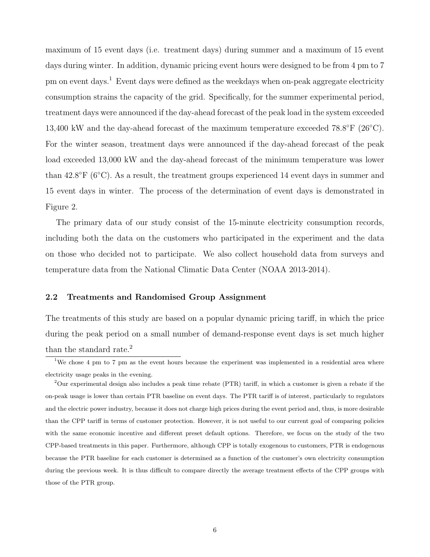maximum of 15 event days (i.e. treatment days) during summer and a maximum of 15 event days during winter. In addition, dynamic pricing event hours were designed to be from 4 pm to 7 pm on event days.<sup>1</sup> Event days were defined as the weekdays when on-peak aggregate electricity consumption strains the capacity of the grid. Specifically, for the summer experimental period, treatment days were announced if the day-ahead forecast of the peak load in the system exceeded 13,400 kW and the day-ahead forecast of the maximum temperature exceeded  $78.8^{\circ}$ F ( $26^{\circ}$ C). For the winter season, treatment days were announced if the day-ahead forecast of the peak load exceeded 13,000 kW and the day-ahead forecast of the minimum temperature was lower than 42.8°F (6°C). As a result, the treatment groups experienced 14 event days in summer and 15 event days in winter. The process of the determination of event days is demonstrated in Figure 2.

The primary data of our study consist of the 15-minute electricity consumption records, including both the data on the customers who participated in the experiment and the data on those who decided not to participate. We also collect household data from surveys and temperature data from the National Climatic Data Center (NOAA 2013-2014).

## 2.2 Treatments and Randomised Group Assignment

The treatments of this study are based on a popular dynamic pricing tariff, in which the price during the peak period on a small number of demand-response event days is set much higher than the standard rate.<sup>2</sup>

<sup>&</sup>lt;sup>1</sup>We chose 4 pm to 7 pm as the event hours because the experiment was implemented in a residential area where electricity usage peaks in the evening.

<sup>&</sup>lt;sup>2</sup>Our experimental design also includes a peak time rebate (PTR) tariff, in which a customer is given a rebate if the on-peak usage is lower than certain PTR baseline on event days. The PTR tariff is of interest, particularly to regulators and the electric power industry, because it does not charge high prices during the event period and, thus, is more desirable than the CPP tariff in terms of customer protection. However, it is not useful to our current goal of comparing policies with the same economic incentive and different preset default options. Therefore, we focus on the study of the two CPP-based treatments in this paper. Furthermore, although CPP is totally exogenous to customers, PTR is endogenous because the PTR baseline for each customer is determined as a function of the customer's own electricity consumption during the previous week. It is thus difficult to compare directly the average treatment effects of the CPP groups with those of the PTR group.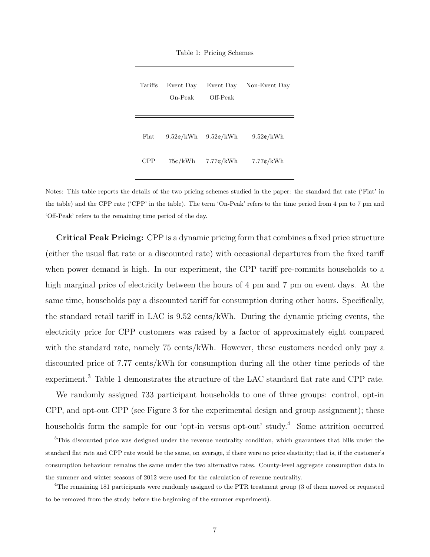|  |  |  | Table 1: Pricing Schemes |
|--|--|--|--------------------------|
|--|--|--|--------------------------|

| Tariffs | Event Day<br>On-Peak | Event Day<br>Off-Peak         | Non-Event Day       |
|---------|----------------------|-------------------------------|---------------------|
| Flat    | $9.52 \text{c/kWh}$  | $9.52 \text{\textdegree}/kWh$ | $9.52 \text{c/kWh}$ |
| CPP     | 75¢/kWh              | $7.77 \div kWh$               | $7.77 \div kWh$     |

Notes: This table reports the details of the two pricing schemes studied in the paper: the standard flat rate ('Flat' in the table) and the CPP rate ('CPP' in the table). The term 'On-Peak' refers to the time period from 4 pm to 7 pm and 'Off-Peak' refers to the remaining time period of the day.

Critical Peak Pricing: CPP is a dynamic pricing form that combines a fixed price structure (either the usual flat rate or a discounted rate) with occasional departures from the fixed tariff when power demand is high. In our experiment, the CPP tariff pre-commits households to a high marginal price of electricity between the hours of 4 pm and 7 pm on event days. At the same time, households pay a discounted tariff for consumption during other hours. Specifically, the standard retail tariff in LAC is 9.52 cents/kWh. During the dynamic pricing events, the electricity price for CPP customers was raised by a factor of approximately eight compared with the standard rate, namely 75 cents/kWh. However, these customers needed only pay a discounted price of 7.77 cents/kWh for consumption during all the other time periods of the experiment.<sup>3</sup> Table 1 demonstrates the structure of the LAC standard flat rate and CPP rate.

We randomly assigned 733 participant households to one of three groups: control, opt-in CPP, and opt-out CPP (see Figure 3 for the experimental design and group assignment); these households form the sample for our 'opt-in versus opt-out' study.<sup>4</sup> Some attrition occurred

<sup>&</sup>lt;sup>3</sup>This discounted price was designed under the revenue neutrality condition, which guarantees that bills under the standard flat rate and CPP rate would be the same, on average, if there were no price elasticity; that is, if the customer's consumption behaviour remains the same under the two alternative rates. County-level aggregate consumption data in the summer and winter seasons of 2012 were used for the calculation of revenue neutrality.

<sup>&</sup>lt;sup>4</sup>The remaining 181 participants were randomly assigned to the PTR treatment group (3 of them moved or requested to be removed from the study before the beginning of the summer experiment).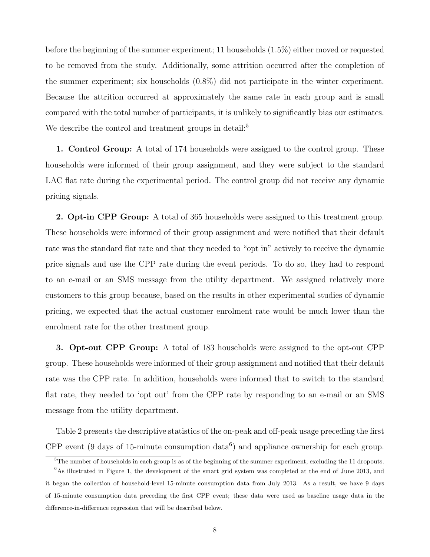before the beginning of the summer experiment; 11 households (1.5%) either moved or requested to be removed from the study. Additionally, some attrition occurred after the completion of the summer experiment; six households (0.8%) did not participate in the winter experiment. Because the attrition occurred at approximately the same rate in each group and is small compared with the total number of participants, it is unlikely to significantly bias our estimates. We describe the control and treatment groups in detail:<sup>5</sup>

1. Control Group: A total of 174 households were assigned to the control group. These households were informed of their group assignment, and they were subject to the standard LAC flat rate during the experimental period. The control group did not receive any dynamic pricing signals.

2. Opt-in CPP Group: A total of 365 households were assigned to this treatment group. These households were informed of their group assignment and were notified that their default rate was the standard flat rate and that they needed to "opt in" actively to receive the dynamic price signals and use the CPP rate during the event periods. To do so, they had to respond to an e-mail or an SMS message from the utility department. We assigned relatively more customers to this group because, based on the results in other experimental studies of dynamic pricing, we expected that the actual customer enrolment rate would be much lower than the enrolment rate for the other treatment group.

3. Opt-out CPP Group: A total of 183 households were assigned to the opt-out CPP group. These households were informed of their group assignment and notified that their default rate was the CPP rate. In addition, households were informed that to switch to the standard flat rate, they needed to 'opt out' from the CPP rate by responding to an e-mail or an SMS message from the utility department.

Table 2 presents the descriptive statistics of the on-peak and off-peak usage preceding the first CPP event (9 days of 15-minute consumption data<sup>6</sup>) and appliance ownership for each group.

 $5$ The number of households in each group is as of the beginning of the summer experiment, excluding the 11 dropouts.

 $6$ As illustrated in Figure 1, the development of the smart grid system was completed at the end of June 2013, and it began the collection of household-level 15-minute consumption data from July 2013. As a result, we have 9 days of 15-minute consumption data preceding the first CPP event; these data were used as baseline usage data in the difference-in-difference regression that will be described below.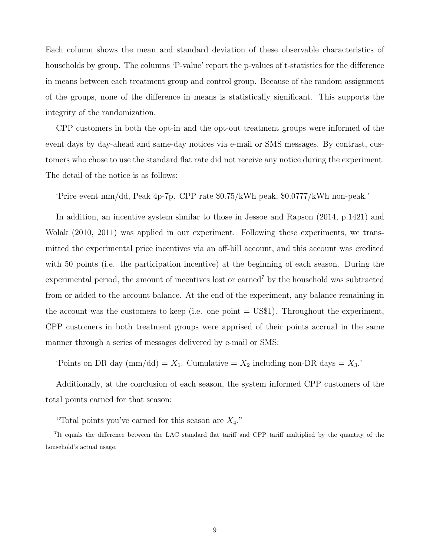Each column shows the mean and standard deviation of these observable characteristics of households by group. The columns 'P-value' report the p-values of t-statistics for the difference in means between each treatment group and control group. Because of the random assignment of the groups, none of the difference in means is statistically significant. This supports the integrity of the randomization.

CPP customers in both the opt-in and the opt-out treatment groups were informed of the event days by day-ahead and same-day notices via e-mail or SMS messages. By contrast, customers who chose to use the standard flat rate did not receive any notice during the experiment. The detail of the notice is as follows:

'Price event mm/dd, Peak 4p-7p. CPP rate \$0.75/kWh peak, \$0.0777/kWh non-peak.'

In addition, an incentive system similar to those in Jessoe and Rapson (2014, p.1421) and Wolak (2010, 2011) was applied in our experiment. Following these experiments, we transmitted the experimental price incentives via an off-bill account, and this account was credited with 50 points (i.e. the participation incentive) at the beginning of each season. During the experimental period, the amount of incentives lost or earned<sup>7</sup> by the household was subtracted from or added to the account balance. At the end of the experiment, any balance remaining in the account was the customers to keep (i.e. one point  $=$  US\$1). Throughout the experiment, CPP customers in both treatment groups were apprised of their points accrual in the same manner through a series of messages delivered by e-mail or SMS:

'Points on DR day  $(\text{mm}/\text{dd}) = X_1$ . Cumulative =  $X_2$  including non-DR days =  $X_3$ .'

Additionally, at the conclusion of each season, the system informed CPP customers of the total points earned for that season:

"Total points you've earned for this season are  $X_4$ ."

<sup>&</sup>lt;sup>7</sup>It equals the difference between the LAC standard flat tariff and CPP tariff multiplied by the quantity of the household's actual usage.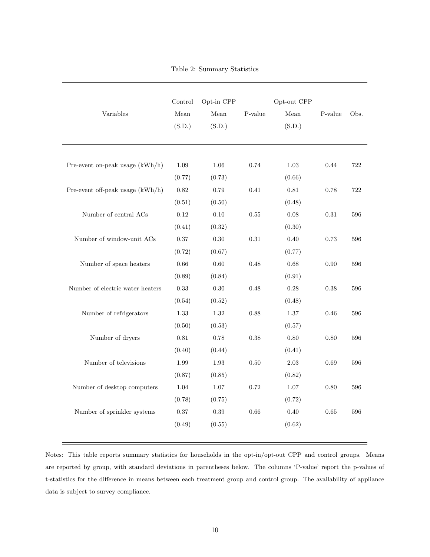Table 2: Summary Statistics

| Variables                        | Control<br>Mean<br>(S.D.) | Opt-in CPP<br>Mean<br>(S.D.) | P-value | Opt-out CPP<br>Mean<br>(S.D.) | P-value | Obs. |
|----------------------------------|---------------------------|------------------------------|---------|-------------------------------|---------|------|
| Pre-event on-peak usage (kWh/h)  | 1.09                      | 1.06                         | 0.74    | 1.03                          | 0.44    | 722  |
|                                  | (0.77)                    | (0.73)                       |         | (0.66)                        |         |      |
| Pre-event off-peak usage (kWh/h) | 0.82                      | 0.79                         | 0.41    | 0.81                          | 0.78    | 722  |
|                                  | (0.51)                    | (0.50)                       |         | (0.48)                        |         |      |
| Number of central ACs            | 0.12                      | 0.10                         | 0.55    | 0.08                          | 0.31    | 596  |
|                                  | (0.41)                    | (0.32)                       |         | (0.30)                        |         |      |
| Number of window-unit ACs        | 0.37                      | 0.30                         | 0.31    | 0.40                          | 0.73    | 596  |
|                                  | (0.72)                    | (0.67)                       |         | (0.77)                        |         |      |
| Number of space heaters          | 0.66                      | 0.60                         | 0.48    | 0.68                          | 0.90    | 596  |
|                                  | (0.89)                    | (0.84)                       |         | (0.91)                        |         |      |
| Number of electric water heaters | 0.33                      | 0.30                         | 0.48    | 0.28                          | 0.38    | 596  |
|                                  | (0.54)                    | (0.52)                       |         | (0.48)                        |         |      |
| Number of refrigerators          | 1.33                      | $1.32\,$                     | 0.88    | 1.37                          | 0.46    | 596  |
|                                  | (0.50)                    | (0.53)                       |         | (0.57)                        |         |      |
| Number of dryers                 | 0.81                      | 0.78                         | 0.38    | 0.80                          | 0.80    | 596  |
|                                  | (0.40)                    | (0.44)                       |         | (0.41)                        |         |      |
| Number of televisions            | 1.99                      | 1.93                         | 0.50    | 2.03                          | 0.69    | 596  |
|                                  | (0.87)                    | (0.85)                       |         | (0.82)                        |         |      |
| Number of desktop computers      | 1.04                      | 1.07                         | 0.72    | 1.07                          | 0.80    | 596  |
|                                  | (0.78)                    | (0.75)                       |         | (0.72)                        |         |      |
| Number of sprinkler systems      | 0.37                      | 0.39                         | 0.66    | 0.40                          | 0.65    | 596  |
|                                  | (0.49)                    | (0.55)                       |         | (0.62)                        |         |      |
|                                  |                           |                              |         |                               |         |      |

Notes: This table reports summary statistics for households in the opt-in/opt-out CPP and control groups. Means are reported by group, with standard deviations in parentheses below. The columns 'P-value' report the p-values of t-statistics for the difference in means between each treatment group and control group. The availability of appliance data is subject to survey compliance.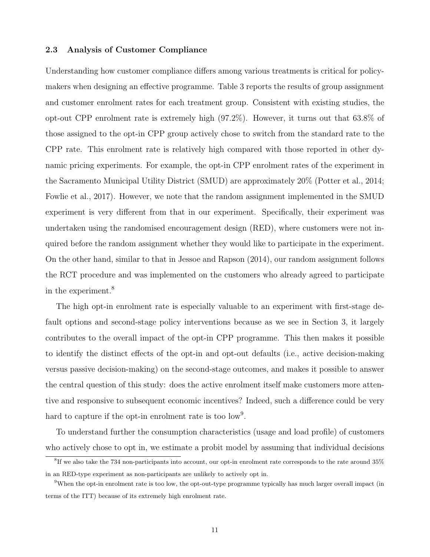# 2.3 Analysis of Customer Compliance

Understanding how customer compliance differs among various treatments is critical for policymakers when designing an effective programme. Table 3 reports the results of group assignment and customer enrolment rates for each treatment group. Consistent with existing studies, the opt-out CPP enrolment rate is extremely high (97.2%). However, it turns out that 63.8% of those assigned to the opt-in CPP group actively chose to switch from the standard rate to the CPP rate. This enrolment rate is relatively high compared with those reported in other dynamic pricing experiments. For example, the opt-in CPP enrolment rates of the experiment in the Sacramento Municipal Utility District (SMUD) are approximately 20% (Potter et al., 2014; Fowlie et al., 2017). However, we note that the random assignment implemented in the SMUD experiment is very different from that in our experiment. Specifically, their experiment was undertaken using the randomised encouragement design (RED), where customers were not inquired before the random assignment whether they would like to participate in the experiment. On the other hand, similar to that in Jessoe and Rapson (2014), our random assignment follows the RCT procedure and was implemented on the customers who already agreed to participate in the experiment.<sup>8</sup>

The high opt-in enrolment rate is especially valuable to an experiment with first-stage default options and second-stage policy interventions because as we see in Section 3, it largely contributes to the overall impact of the opt-in CPP programme. This then makes it possible to identify the distinct effects of the opt-in and opt-out defaults (i.e., active decision-making versus passive decision-making) on the second-stage outcomes, and makes it possible to answer the central question of this study: does the active enrolment itself make customers more attentive and responsive to subsequent economic incentives? Indeed, such a difference could be very hard to capture if the opt-in enrolment rate is too low<sup>9</sup>.

To understand further the consumption characteristics (usage and load profile) of customers who actively chose to opt in, we estimate a probit model by assuming that individual decisions

 ${}^{8}$ If we also take the 734 non-participants into account, our opt-in enrolment rate corresponds to the rate around 35% in an RED-type experiment as non-participants are unlikely to actively opt in.

<sup>&</sup>lt;sup>9</sup>When the opt-in enrolment rate is too low, the opt-out-type programme typically has much larger overall impact (in terms of the ITT) because of its extremely high enrolment rate.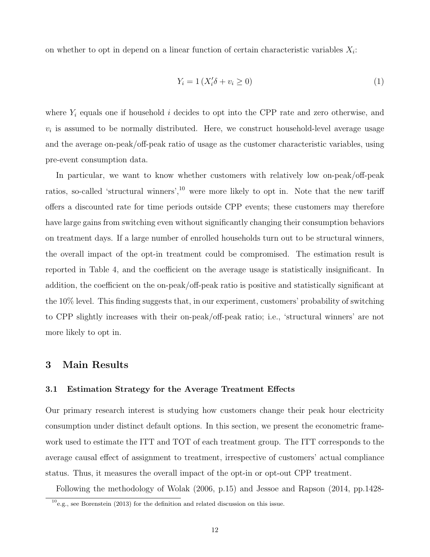on whether to opt in depend on a linear function of certain characteristic variables  $X_i$ :

$$
Y_i = 1\left(X_i'\delta + v_i \ge 0\right) \tag{1}
$$

where  $Y_i$  equals one if household i decides to opt into the CPP rate and zero otherwise, and  $v_i$  is assumed to be normally distributed. Here, we construct household-level average usage and the average on-peak/off-peak ratio of usage as the customer characteristic variables, using pre-event consumption data.

In particular, we want to know whether customers with relatively low on-peak/off-peak ratios, so-called 'structural winners',<sup>10</sup> were more likely to opt in. Note that the new tariff offers a discounted rate for time periods outside CPP events; these customers may therefore have large gains from switching even without significantly changing their consumption behaviors on treatment days. If a large number of enrolled households turn out to be structural winners, the overall impact of the opt-in treatment could be compromised. The estimation result is reported in Table 4, and the coefficient on the average usage is statistically insignificant. In addition, the coefficient on the on-peak/off-peak ratio is positive and statistically significant at the 10% level. This finding suggests that, in our experiment, customers' probability of switching to CPP slightly increases with their on-peak/off-peak ratio; i.e., 'structural winners' are not more likely to opt in.

# 3 Main Results

# 3.1 Estimation Strategy for the Average Treatment Effects

Our primary research interest is studying how customers change their peak hour electricity consumption under distinct default options. In this section, we present the econometric framework used to estimate the ITT and TOT of each treatment group. The ITT corresponds to the average causal effect of assignment to treatment, irrespective of customers' actual compliance status. Thus, it measures the overall impact of the opt-in or opt-out CPP treatment.

Following the methodology of Wolak (2006, p.15) and Jessoe and Rapson (2014, pp.1428-

 $10$ <sub>e.g.</sub>, see Borenstein (2013) for the definition and related discussion on this issue.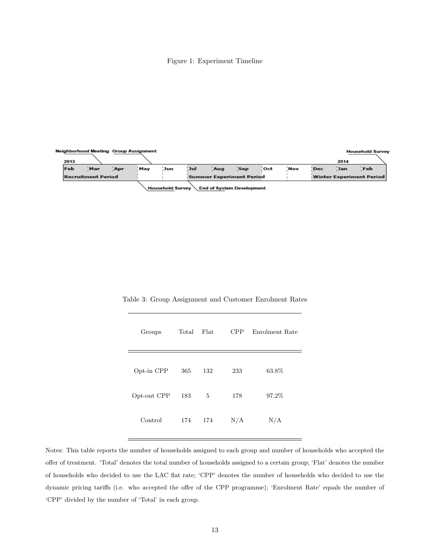#### Figure 1: Experiment Timeline

| 2013 | <b>Neighborhood Meeting Group Assignment</b> |     |     |                         |            |                                  |            |     |     |            | 2014       | <b>Household Survey</b>  |
|------|----------------------------------------------|-----|-----|-------------------------|------------|----------------------------------|------------|-----|-----|------------|------------|--------------------------|
| Feb  | Mar                                          | Apr | May | Jun                     | <b>Jul</b> | Aug                              | <b>Sep</b> | oct | Nov | <b>Dec</b> | <b>Jan</b> | <b>Feb</b>               |
|      | <b>Recruitment Period</b>                    |     |     |                         |            | Summer Experiment Period         |            |     |     |            |            | Winter Experiment Period |
|      |                                              |     |     | <b>Household Survey</b> |            | <b>End of System Development</b> |            |     |     |            |            |                          |

| Groups      | Total | Flat | CPP | Enrolment Rate |
|-------------|-------|------|-----|----------------|
| Opt-in CPP  | 365   | 132  | 233 | 63.8%          |
| Opt-out CPP | 183   | 5    | 178 | 97.2%          |
| Control     | 174   | 174  | N/A | N/A            |

Table 3: Group Assignment and Customer Enrolment Rates

Notes: This table reports the number of households assigned to each group and number of households who accepted the offer of treatment. 'Total' denotes the total number of households assigned to a certain group; 'Flat' denotes the number of households who decided to use the LAC flat rate; 'CPP' denotes the number of households who decided to use the dynamic pricing tariffs (i.e. who accepted the offer of the CPP programme); 'Enrolment Rate' equals the number of 'CPP' divided by the number of 'Total' in each group.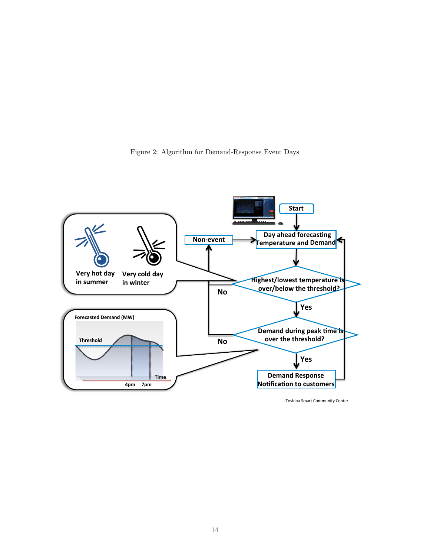



-Toshiba Smart Community Center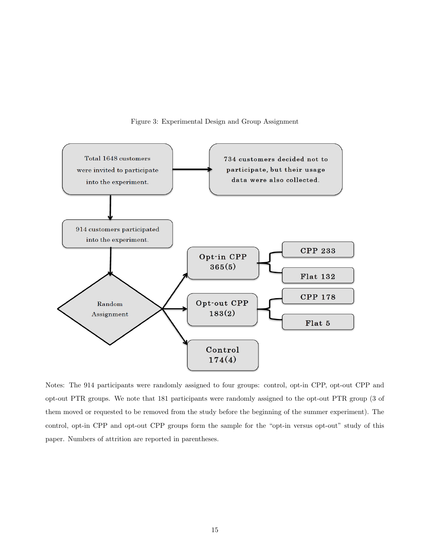

Figure 3: Experimental Design and Group Assignment

Notes: The 914 participants were randomly assigned to four groups: control, opt-in CPP, opt-out CPP and opt-out PTR groups. We note that 181 participants were randomly assigned to the opt-out PTR group (3 of them moved or requested to be removed from the study before the beginning of the summer experiment). The control, opt-in CPP and opt-out CPP groups form the sample for the "opt-in versus opt-out" study of this paper. Numbers of attrition are reported in parentheses.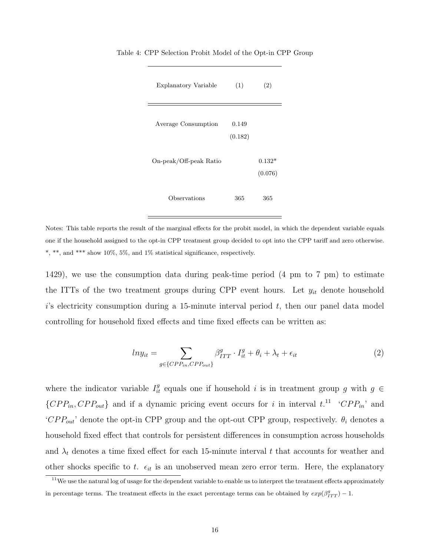| Explanatory Variable   | (1)              | (2)                 |
|------------------------|------------------|---------------------|
| Average Consumption    | 0.149<br>(0.182) |                     |
| On-peak/Off-peak Ratio |                  | $0.132*$<br>(0.076) |
| Observations           | 365              | 365                 |

Table 4: CPP Selection Probit Model of the Opt-in CPP Group

Notes: This table reports the result of the marginal effects for the probit model, in which the dependent variable equals one if the household assigned to the opt-in CPP treatment group decided to opt into the CPP tariff and zero otherwise. \*, \*\*, and \*\*\* show 10%, 5%, and 1% statistical significance, respectively.

1429), we use the consumption data during peak-time period (4 pm to 7 pm) to estimate the ITTs of the two treatment groups during CPP event hours. Let  $y_{it}$  denote household  $i$ 's electricity consumption during a 15-minute interval period  $t$ , then our panel data model controlling for household fixed effects and time fixed effects can be written as:

$$
ln y_{it} = \sum_{g \in \{CPP_{in}, CPP_{out}\}} \beta_{ITT}^{g} \cdot I_{it}^{g} + \theta_i + \lambda_t + \epsilon_{it}
$$
\n
$$
\tag{2}
$$

where the indicator variable  $I_{it}^g$  equals one if household i is in treatment group g with  $g \in$  $\{CPP_{in}, CPP_{out}\}\$ and if a dynamic pricing event occurs for i in interval  $t^{11}$  'CPP<sub>in</sub>' and 'CPP<sub>out</sub>' denote the opt-in CPP group and the opt-out CPP group, respectively.  $\theta_i$  denotes a household fixed effect that controls for persistent differences in consumption across households and  $\lambda_t$  denotes a time fixed effect for each 15-minute interval t that accounts for weather and other shocks specific to t.  $\epsilon_{it}$  is an unobserved mean zero error term. Here, the explanatory

 $11$ We use the natural log of usage for the dependent variable to enable us to interpret the treatment effects approximately in percentage terms. The treatment effects in the exact percentage terms can be obtained by  $exp(\beta_{TTT}^g) - 1$ .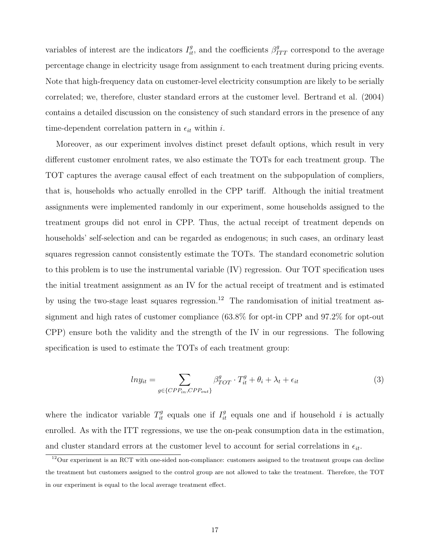variables of interest are the indicators  $I_{it}^g$ , and the coefficients  $\beta_{TTT}^g$  correspond to the average percentage change in electricity usage from assignment to each treatment during pricing events. Note that high-frequency data on customer-level electricity consumption are likely to be serially correlated; we, therefore, cluster standard errors at the customer level. Bertrand et al. (2004) contains a detailed discussion on the consistency of such standard errors in the presence of any time-dependent correlation pattern in  $\epsilon_{it}$  within i.

Moreover, as our experiment involves distinct preset default options, which result in very different customer enrolment rates, we also estimate the TOTs for each treatment group. The TOT captures the average causal effect of each treatment on the subpopulation of compliers, that is, households who actually enrolled in the CPP tariff. Although the initial treatment assignments were implemented randomly in our experiment, some households assigned to the treatment groups did not enrol in CPP. Thus, the actual receipt of treatment depends on households' self-selection and can be regarded as endogenous; in such cases, an ordinary least squares regression cannot consistently estimate the TOTs. The standard econometric solution to this problem is to use the instrumental variable (IV) regression. Our TOT specification uses the initial treatment assignment as an IV for the actual receipt of treatment and is estimated by using the two-stage least squares regression.<sup>12</sup> The randomisation of initial treatment assignment and high rates of customer compliance (63.8% for opt-in CPP and 97.2% for opt-out CPP) ensure both the validity and the strength of the IV in our regressions. The following specification is used to estimate the TOTs of each treatment group:

$$
ln y_{it} = \sum_{g \in \{CPP_{in}, CPP_{out}\}} \beta_{TOT}^g \cdot T_{it}^g + \theta_i + \lambda_t + \epsilon_{it}
$$
\n
$$
\tag{3}
$$

where the indicator variable  $T_{it}^g$  equals one if  $I_{it}^g$  equals one and if household i is actually enrolled. As with the ITT regressions, we use the on-peak consumption data in the estimation, and cluster standard errors at the customer level to account for serial correlations in  $\epsilon_{it}$ .

 $12$ Our experiment is an RCT with one-sided non-compliance: customers assigned to the treatment groups can decline the treatment but customers assigned to the control group are not allowed to take the treatment. Therefore, the TOT in our experiment is equal to the local average treatment effect.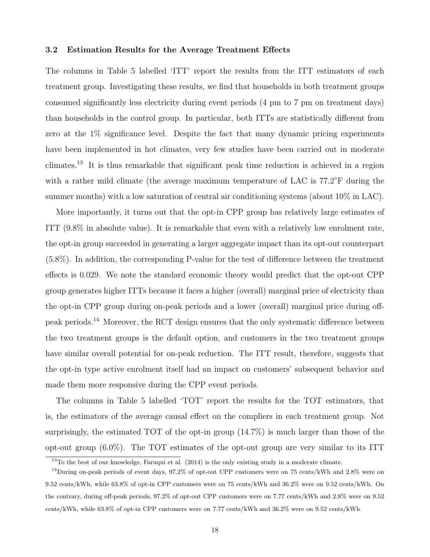# 3.2 Estimation Results for the Average Treatment Effects

The columns in Table 5 labelled 'ITT' report the results from the ITT estimators of each treatment group. Investigating these results, we find that households in both treatment groups consumed significantly less electricity during event periods (4 pm to 7 pm on treatment days) than households in the control group. In particular, both ITTs are statistically different from zero at the 1% significance level. Despite the fact that many dynamic pricing experiments have been implemented in hot climates, very few studies have been carried out in moderate climates.<sup>13</sup> It is thus remarkable that significant peak time reduction is achieved in a region with a rather mild climate (the average maximum temperature of LAC is  $77.2^{\circ}$ F during the summer months) with a low saturation of central air conditioning systems (about 10% in LAC).

More importantly, it turns out that the opt-in CPP group has relatively large estimates of ITT (9.8% in absolute value). It is remarkable that even with a relatively low enrolment rate, the opt-in group succeeded in generating a larger aggregate impact than its opt-out counterpart (5.8%). In addition, the corresponding P-value for the test of difference between the treatment effects is 0.029. We note the standard economic theory would predict that the opt-out CPP group generates higher ITTs because it faces a higher (overall) marginal price of electricity than the opt-in CPP group during on-peak periods and a lower (overall) marginal price during offpeak periods.<sup>14</sup> Moreover, the RCT design ensures that the only systematic difference between the two treatment groups is the default option, and customers in the two treatment groups have similar overall potential for on-peak reduction. The ITT result, therefore, suggests that the opt-in type active enrolment itself had an impact on customers' subsequent behavior and made them more responsive during the CPP event periods.

The columns in Table 5 labelled 'TOT' report the results for the TOT estimators, that is, the estimators of the average causal effect on the compliers in each treatment group. Not surprisingly, the estimated TOT of the opt-in group (14.7%) is much larger than those of the opt-out group (6.0%). The TOT estimates of the opt-out group are very similar to its ITT

<sup>&</sup>lt;sup>13</sup>To the best of our knowledge, Faruqui et al. (2014) is the only existing study in a moderate climate.

 $14$ During on-peak periods of event days, 97.2% of opt-out CPP customers were on 75 cents/kWh and 2.8% were on 9.52 cents/kWh, while 63.8% of opt-in CPP customers were on 75 cents/kWh and 36.2% were on 9.52 cents/kWh. On the contrary, during off-peak periods, 97.2% of opt-out CPP customers were on 7.77 cents/kWh and 2.8% were on 9.52 cents/kWh, while 63.8% of opt-in CPP customers were on 7.77 cents/kWh and 36.2% were on 9.52 cents/kWh.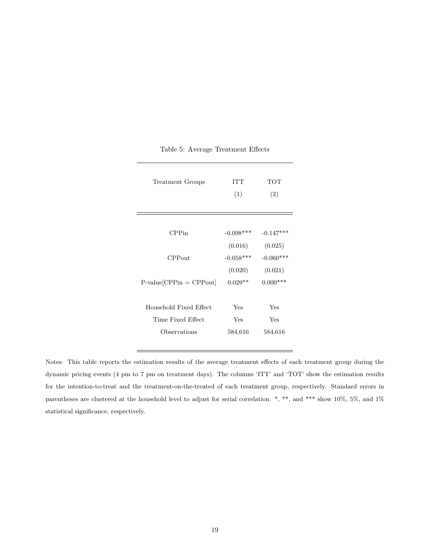| Treatment Groups          | <b>ITT</b><br>(1) | TOT<br>(2)  |
|---------------------------|-------------------|-------------|
| CPPin                     | $-0.098***$       | $-0.147***$ |
|                           | (0.016)           | (0.025)     |
| $CP$ Pout                 | $-0.058***$       | $-0.060***$ |
|                           | (0.020)           | (0.021)     |
| $P-value[CPPin] = CPPout$ | $0.029**$         | $0.000***$  |
|                           |                   |             |
| Household Fixed Effect    | Yes               | Yes         |
| Time Fixed Effect         | Yes               | Yes         |
| Observations              | 584,616           | 584,616     |
|                           |                   |             |

Table 5: Average Treatment Effects

Notes: This table reports the estimation results of the average treatment effects of each treatment group during the dynamic pricing events (4 pm to 7 pm on treatment days). The columns 'ITT' and 'TOT' show the estimation results for the intention-to-treat and the treatment-on-the-treated of each treatment group, respectively. Standard errors in parentheses are clustered at the household level to adjust for serial correlation. \*, \*\*, and \*\*\* show 10%, 5%, and 1% statistical significance, respectively.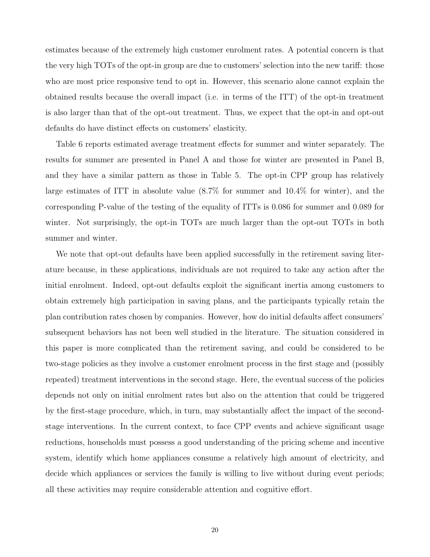estimates because of the extremely high customer enrolment rates. A potential concern is that the very high TOTs of the opt-in group are due to customers' selection into the new tariff: those who are most price responsive tend to opt in. However, this scenario alone cannot explain the obtained results because the overall impact (i.e. in terms of the ITT) of the opt-in treatment is also larger than that of the opt-out treatment. Thus, we expect that the opt-in and opt-out defaults do have distinct effects on customers' elasticity.

Table 6 reports estimated average treatment effects for summer and winter separately. The results for summer are presented in Panel A and those for winter are presented in Panel B, and they have a similar pattern as those in Table 5. The opt-in CPP group has relatively large estimates of ITT in absolute value (8.7% for summer and 10.4% for winter), and the corresponding P-value of the testing of the equality of ITTs is 0.086 for summer and 0.089 for winter. Not surprisingly, the opt-in TOTs are much larger than the opt-out TOTs in both summer and winter.

We note that opt-out defaults have been applied successfully in the retirement saving literature because, in these applications, individuals are not required to take any action after the initial enrolment. Indeed, opt-out defaults exploit the significant inertia among customers to obtain extremely high participation in saving plans, and the participants typically retain the plan contribution rates chosen by companies. However, how do initial defaults affect consumers' subsequent behaviors has not been well studied in the literature. The situation considered in this paper is more complicated than the retirement saving, and could be considered to be two-stage policies as they involve a customer enrolment process in the first stage and (possibly repeated) treatment interventions in the second stage. Here, the eventual success of the policies depends not only on initial enrolment rates but also on the attention that could be triggered by the first-stage procedure, which, in turn, may substantially affect the impact of the secondstage interventions. In the current context, to face CPP events and achieve significant usage reductions, households must possess a good understanding of the pricing scheme and incentive system, identify which home appliances consume a relatively high amount of electricity, and decide which appliances or services the family is willing to live without during event periods; all these activities may require considerable attention and cognitive effort.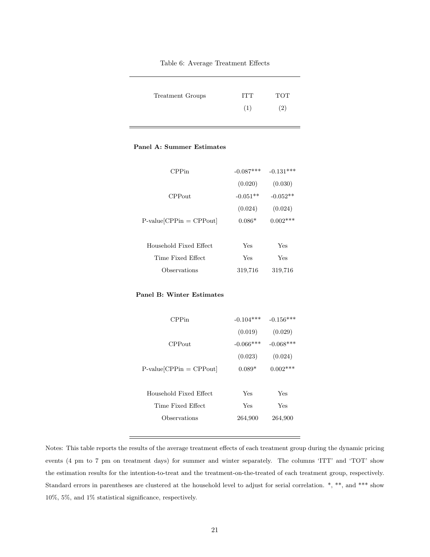#### Table 6: Average Treatment Effects

| Treatment Groups | ITT | <b>TOT</b> |
|------------------|-----|------------|
|                  | (1) | (2)        |

#### Panel A: Summer Estimates

| CPPin                      | $-0.087***$ | $-0.131***$ |
|----------------------------|-------------|-------------|
|                            | (0.020)     | (0.030)     |
| CPPout                     | $-0.051**$  | $-0.052**$  |
|                            | (0.024)     | (0.024)     |
| $P-value[CPPin] = CPPout]$ | $0.086*$    | $0.002***$  |
|                            |             |             |
| Household Fixed Effect     | Yes         | Yes         |
| Time Fixed Effect          | Yes         | Yes         |
| Observations               | 319,716     | 319,716     |

#### Panel B: Winter Estimates

| CPPin                     | $-0.104***$ | $-0.156***$ |
|---------------------------|-------------|-------------|
|                           | (0.019)     | (0.029)     |
| CPPout                    | $-0.066***$ | $-0.068***$ |
|                           | (0.023)     | (0.024)     |
| $P-value[CPPin] = CPPout$ | $0.089*$    | $0.002***$  |
|                           |             |             |
| Household Fixed Effect    | Yes         | Yes         |
| Time Fixed Effect         | Yes         | Yes         |
| Observations              | 264,900     | 264,900     |
|                           |             |             |

Notes: This table reports the results of the average treatment effects of each treatment group during the dynamic pricing events (4 pm to 7 pm on treatment days) for summer and winter separately. The columns 'ITT' and 'TOT' show the estimation results for the intention-to-treat and the treatment-on-the-treated of each treatment group, respectively. Standard errors in parentheses are clustered at the household level to adjust for serial correlation. \*, \*\*, and \*\*\* show 10%, 5%, and 1% statistical significance, respectively.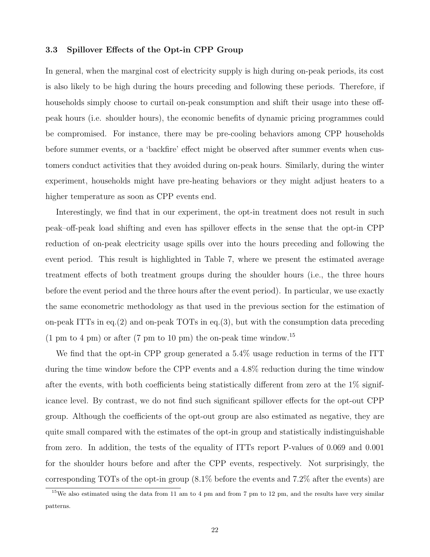# 3.3 Spillover Effects of the Opt-in CPP Group

In general, when the marginal cost of electricity supply is high during on-peak periods, its cost is also likely to be high during the hours preceding and following these periods. Therefore, if households simply choose to curtail on-peak consumption and shift their usage into these offpeak hours (i.e. shoulder hours), the economic benefits of dynamic pricing programmes could be compromised. For instance, there may be pre-cooling behaviors among CPP households before summer events, or a 'backfire' effect might be observed after summer events when customers conduct activities that they avoided during on-peak hours. Similarly, during the winter experiment, households might have pre-heating behaviors or they might adjust heaters to a higher temperature as soon as CPP events end.

Interestingly, we find that in our experiment, the opt-in treatment does not result in such peak–off-peak load shifting and even has spillover effects in the sense that the opt-in CPP reduction of on-peak electricity usage spills over into the hours preceding and following the event period. This result is highlighted in Table 7, where we present the estimated average treatment effects of both treatment groups during the shoulder hours (i.e., the three hours before the event period and the three hours after the event period). In particular, we use exactly the same econometric methodology as that used in the previous section for the estimation of on-peak ITTs in eq.(2) and on-peak TOTs in eq.(3), but with the consumption data preceding  $(1 \text{ pm to } 4 \text{ pm})$  or after  $(7 \text{ pm to } 10 \text{ pm})$  the on-peak time window.<sup>15</sup>

We find that the opt-in CPP group generated a 5.4% usage reduction in terms of the ITT during the time window before the CPP events and a 4.8% reduction during the time window after the events, with both coefficients being statistically different from zero at the 1% significance level. By contrast, we do not find such significant spillover effects for the opt-out CPP group. Although the coefficients of the opt-out group are also estimated as negative, they are quite small compared with the estimates of the opt-in group and statistically indistinguishable from zero. In addition, the tests of the equality of ITTs report P-values of 0.069 and 0.001 for the shoulder hours before and after the CPP events, respectively. Not surprisingly, the corresponding TOTs of the opt-in group (8.1% before the events and 7.2% after the events) are

 $15$ We also estimated using the data from 11 am to 4 pm and from 7 pm to 12 pm, and the results have very similar patterns.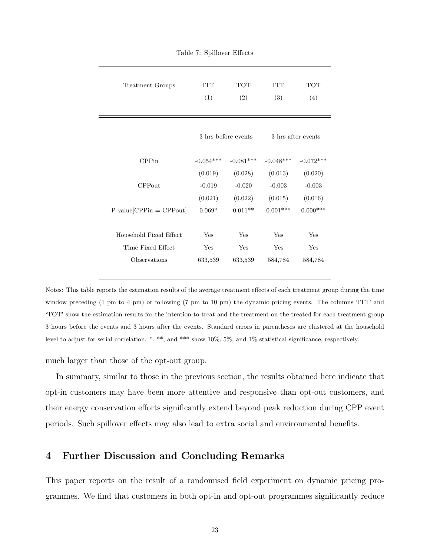| Treatment Groups           | <b>ITT</b><br>(1) | <b>TOT</b><br>(2)   | <b>ITT</b><br>(3) | <b>TOT</b><br>(4)  |
|----------------------------|-------------------|---------------------|-------------------|--------------------|
|                            |                   | 3 hrs before events |                   | 3 hrs after events |
| CPPin                      | $-0.054***$       | $-0.081***$         | $-0.048***$       | $-0.072***$        |
|                            | (0.019)           | (0.028)             | (0.013)           | (0.020)            |
| $CP$ Pout                  | $-0.019$          | $-0.020$            | $-0.003$          | $-0.003$           |
|                            | (0.021)           | (0.022)             | (0.015)           | (0.016)            |
| $P-value[CPPin] = CPPout]$ | $0.069*$          | $0.011**$           | $0.001***$        | $0.000***$         |
|                            |                   |                     |                   |                    |
| Household Fixed Effect     | Yes               | Yes                 | Yes               | Yes                |
| Time Fixed Effect          | Yes               | Yes                 | Yes               | Yes                |
| Observations               | 633,539           | 633,539             | 584,784           | 584,784            |
|                            |                   |                     |                   |                    |

Table 7: Spillover Effects

Notes: This table reports the estimation results of the average treatment effects of each treatment group during the time window preceding (1 pm to 4 pm) or following (7 pm to 10 pm) the dynamic pricing events. The columns 'ITT' and 'TOT' show the estimation results for the intention-to-treat and the treatment-on-the-treated for each treatment group 3 hours before the events and 3 hours after the events. Standard errors in parentheses are clustered at the household level to adjust for serial correlation. \*, \*\*, and \*\*\* show 10%, 5%, and 1% statistical significance, respectively.

much larger than those of the opt-out group.

In summary, similar to those in the previous section, the results obtained here indicate that opt-in customers may have been more attentive and responsive than opt-out customers, and their energy conservation efforts significantly extend beyond peak reduction during CPP event periods. Such spillover effects may also lead to extra social and environmental benefits.

# 4 Further Discussion and Concluding Remarks

This paper reports on the result of a randomised field experiment on dynamic pricing programmes. We find that customers in both opt-in and opt-out programmes significantly reduce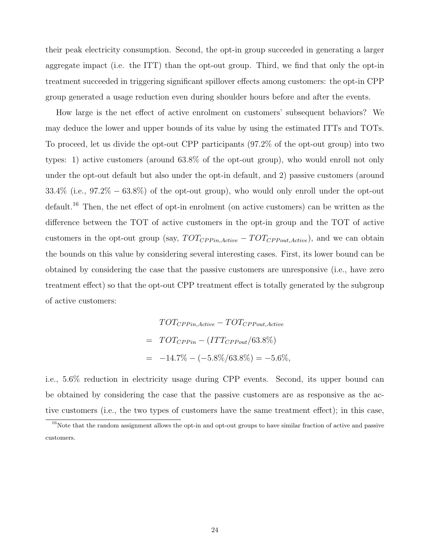their peak electricity consumption. Second, the opt-in group succeeded in generating a larger aggregate impact (i.e. the ITT) than the opt-out group. Third, we find that only the opt-in treatment succeeded in triggering significant spillover effects among customers: the opt-in CPP group generated a usage reduction even during shoulder hours before and after the events.

How large is the net effect of active enrolment on customers' subsequent behaviors? We may deduce the lower and upper bounds of its value by using the estimated ITTs and TOTs. To proceed, let us divide the opt-out CPP participants (97.2% of the opt-out group) into two types: 1) active customers (around 63.8% of the opt-out group), who would enroll not only under the opt-out default but also under the opt-in default, and 2) passive customers (around  $33.4\%$  (i.e.,  $97.2\% - 63.8\%$ ) of the opt-out group), who would only enroll under the opt-out default.<sup>16</sup> Then, the net effect of opt-in enrolment (on active customers) can be written as the difference between the TOT of active customers in the opt-in group and the TOT of active customers in the opt-out group (say,  $TOT_{CPPin,Active} - TOT_{CPPout,Active}$ ), and we can obtain the bounds on this value by considering several interesting cases. First, its lower bound can be obtained by considering the case that the passive customers are unresponsive (i.e., have zero treatment effect) so that the opt-out CPP treatment effect is totally generated by the subgroup of active customers:

$$
TOT_{CPPin,Active} - TOT_{CPPout,Active}
$$

$$
= TOT_{CPPin} - (ITT_{CPPout} / 63.8\%)
$$

$$
= -14.7\% - (-5.8\% / 63.8\%) = -5.6\%,
$$

i.e., 5.6% reduction in electricity usage during CPP events. Second, its upper bound can be obtained by considering the case that the passive customers are as responsive as the active customers (i.e., the two types of customers have the same treatment effect); in this case,

 $16$ Note that the random assignment allows the opt-in and opt-out groups to have similar fraction of active and passive customers.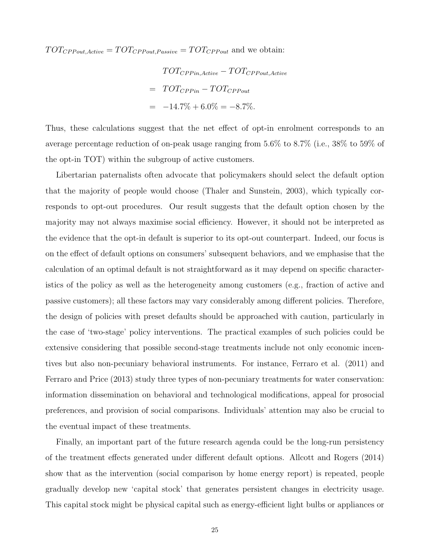$TOT_{CPPout,Active} = TOT_{CPPout,Passive} = TOT_{CPPout}$  and we obtain:

 $TOT_{CPPin,Active} - TOT_{CPPout,Active}$  $= TOT_{CPPin} - TOT_{CPPout}$  $= -14.7\% + 6.0\% = -8.7\%.$ 

Thus, these calculations suggest that the net effect of opt-in enrolment corresponds to an average percentage reduction of on-peak usage ranging from 5.6% to 8.7% (i.e., 38% to 59% of the opt-in TOT) within the subgroup of active customers.

Libertarian paternalists often advocate that policymakers should select the default option that the majority of people would choose (Thaler and Sunstein, 2003), which typically corresponds to opt-out procedures. Our result suggests that the default option chosen by the majority may not always maximise social efficiency. However, it should not be interpreted as the evidence that the opt-in default is superior to its opt-out counterpart. Indeed, our focus is on the effect of default options on consumers' subsequent behaviors, and we emphasise that the calculation of an optimal default is not straightforward as it may depend on specific characteristics of the policy as well as the heterogeneity among customers (e.g., fraction of active and passive customers); all these factors may vary considerably among different policies. Therefore, the design of policies with preset defaults should be approached with caution, particularly in the case of 'two-stage' policy interventions. The practical examples of such policies could be extensive considering that possible second-stage treatments include not only economic incentives but also non-pecuniary behavioral instruments. For instance, Ferraro et al. (2011) and Ferraro and Price (2013) study three types of non-pecuniary treatments for water conservation: information dissemination on behavioral and technological modifications, appeal for prosocial preferences, and provision of social comparisons. Individuals' attention may also be crucial to the eventual impact of these treatments.

Finally, an important part of the future research agenda could be the long-run persistency of the treatment effects generated under different default options. Allcott and Rogers (2014) show that as the intervention (social comparison by home energy report) is repeated, people gradually develop new 'capital stock' that generates persistent changes in electricity usage. This capital stock might be physical capital such as energy-efficient light bulbs or appliances or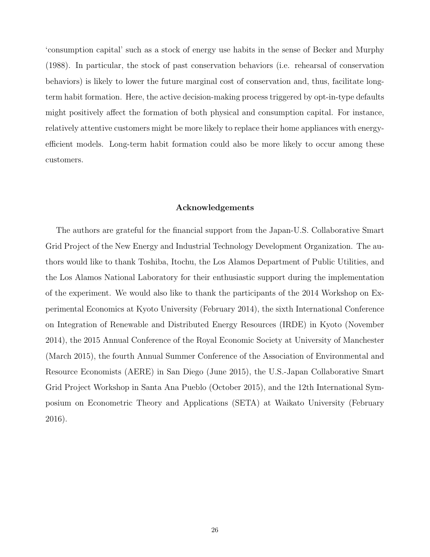'consumption capital' such as a stock of energy use habits in the sense of Becker and Murphy (1988). In particular, the stock of past conservation behaviors (i.e. rehearsal of conservation behaviors) is likely to lower the future marginal cost of conservation and, thus, facilitate longterm habit formation. Here, the active decision-making process triggered by opt-in-type defaults might positively affect the formation of both physical and consumption capital. For instance, relatively attentive customers might be more likely to replace their home appliances with energyefficient models. Long-term habit formation could also be more likely to occur among these customers.

### Acknowledgements

The authors are grateful for the financial support from the Japan-U.S. Collaborative Smart Grid Project of the New Energy and Industrial Technology Development Organization. The authors would like to thank Toshiba, Itochu, the Los Alamos Department of Public Utilities, and the Los Alamos National Laboratory for their enthusiastic support during the implementation of the experiment. We would also like to thank the participants of the 2014 Workshop on Experimental Economics at Kyoto University (February 2014), the sixth International Conference on Integration of Renewable and Distributed Energy Resources (IRDE) in Kyoto (November 2014), the 2015 Annual Conference of the Royal Economic Society at University of Manchester (March 2015), the fourth Annual Summer Conference of the Association of Environmental and Resource Economists (AERE) in San Diego (June 2015), the U.S.-Japan Collaborative Smart Grid Project Workshop in Santa Ana Pueblo (October 2015), and the 12th International Symposium on Econometric Theory and Applications (SETA) at Waikato University (February 2016).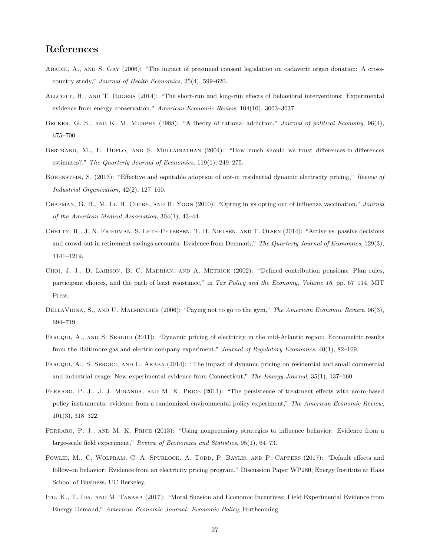# References

- Abadie, A., and S. Gay (2006): "The impact of presumed consent legislation on cadaveric organ donation: A crosscountry study," Journal of Health Economics, 25(4), 599–620.
- ALLCOTT, H., AND T. ROGERS (2014): "The short-run and long-run effects of behavioral interventions: Experimental evidence from energy conservation," American Economic Review, 104(10), 3003–3037.
- BECKER, G. S., AND K. M. MURPHY (1988): "A theory of rational addiction," Journal of political Economy, 96(4), 675–700.
- BERTRAND, M., E. DUFLO, AND S. MULLAINATHAN (2004): "How much should we trust differences-in-differences estimates?," The Quarterly Journal of Economics, 119(1), 249–275.
- BORENSTEIN, S. (2013): "Effective and equitable adoption of opt-in residential dynamic electricity pricing," Review of Industrial Organization, 42(2), 127–160.
- CHAPMAN, G. B., M. LI, H. COLBY, AND H. YOON (2010): "Opting in vs opting out of influenza vaccination," Journal of the American Medical Association, 304(1), 43–44.
- CHETTY, R., J. N. FRIEDMAN, S. LETH-PETERSEN, T. H. NIELSEN, AND T. OLSEN (2014): "Active vs. passive decisions and crowd-out in retirement savings accounts: Evidence from Denmark," The Quarterly Journal of Economics, 129(3), 1141–1219.
- Choi, J. J., D. Laibson, B. C. Madrian, and A. Metrick (2002): "Defined contribution pensions: Plan rules, participant choices, and the path of least resistance," in Tax Policy and the Economy, Volume 16, pp. 67–114. MIT Press.
- DELLAVIGNA, S., AND U. MALMENDIER (2006): "Paying not to go to the gym," The American Economic Review, 96(3), 694–719.
- Faruqui, A., and S. Sergici (2011): "Dynamic pricing of electricity in the mid-Atlantic region: Econometric results from the Baltimore gas and electric company experiment," Journal of Regulatory Economics, 40(1), 82–109.
- Faruqui, A., S. Sergici, and L. Akaba (2014): "The impact of dynamic pricing on residential and small commercial and industrial usage: New experimental evidence from Connecticut," The Energy Journal, 35(1), 137–160.
- FERRARO, P. J., J. J. MIRANDA, AND M. K. PRICE (2011): "The persistence of treatment effects with norm-based policy instruments: evidence from a randomized environmental policy experiment," The American Economic Review, 101(3), 318–322.
- FERRARO, P. J., AND M. K. PRICE (2013): "Using nonpecuniary strategies to influence behavior: Evidence from a large-scale field experiment," Review of Economics and Statistics, 95(1), 64–73.
- FOWLIE, M., C. WOLFRAM, C. A. SPURLOCK, A. TODD, P. BAYLIS, AND P. CAPPERS (2017): "Default effects and follow-on behavior: Evidence from an electricity pricing program," Discussion Paper WP280, Energy Institute at Haas School of Business, UC Berkeley.
- ITO, K., T. IDA, AND M. TANAKA (2017): "Moral Suasion and Economic Incentives: Field Experimental Evidence from Energy Demand," American Economic Journal: Economic Policy, Forthcoming.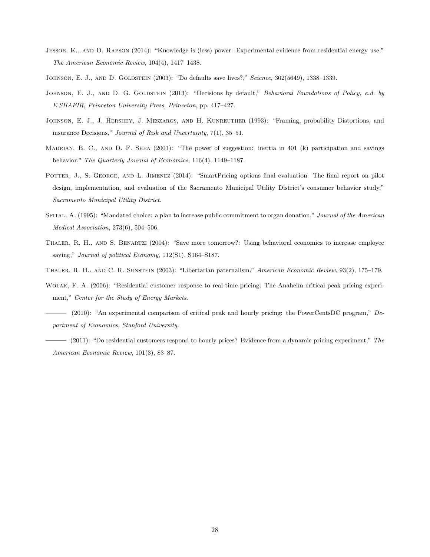- Jessoe, K., and D. Rapson (2014): "Knowledge is (less) power: Experimental evidence from residential energy use," The American Economic Review, 104(4), 1417–1438.
- JOHNSON, E. J., AND D. GOLDSTEIN (2003): "Do defaults save lives?," Science, 302(5649), 1338-1339.
- JOHNSON, E. J., AND D. G. GOLDSTEIN (2013): "Decisions by default," Behavioral Foundations of Policy, e.d. by E.SHAFIR, Princeton University Press, Princeton, pp. 417–427.
- Johnson, E. J., J. Hershey, J. Meszaros, and H. Kunreuther (1993): "Framing, probability Distortions, and insurance Decisions," Journal of Risk and Uncertainty, 7(1), 35–51.
- MADRIAN, B. C., AND D. F. SHEA (2001): "The power of suggestion: inertia in 401 (k) participation and savings behavior," The Quarterly Journal of Economics, 116(4), 1149–1187.
- POTTER, J., S. GEORGE, AND L. JIMENEZ (2014): "SmartPricing options final evaluation: The final report on pilot design, implementation, and evaluation of the Sacramento Municipal Utility District's consumer behavior study," Sacramento Municipal Utility District.
- SPITAL, A. (1995): "Mandated choice: a plan to increase public commitment to organ donation," Journal of the American Medical Association, 273(6), 504–506.
- Thaler, R. H., and S. Benartzi (2004): "Save more tomorrow?: Using behavioral economics to increase employee saving," Journal of political Economy, 112(S1), S164-S187.
- Thaler, R. H., and C. R. Sunstein (2003): "Libertarian paternalism," American Economic Review, 93(2), 175–179.
- Wolak, F. A. (2006): "Residential customer response to real-time pricing: The Anaheim critical peak pricing experiment," Center for the Study of Energy Markets.
- (2010): "An experimental comparison of critical peak and hourly pricing: the PowerCentsDC program," Department of Economics, Stanford University.
- $-$  (2011): "Do residential customers respond to hourly prices? Evidence from a dynamic pricing experiment," The American Economic Review, 101(3), 83–87.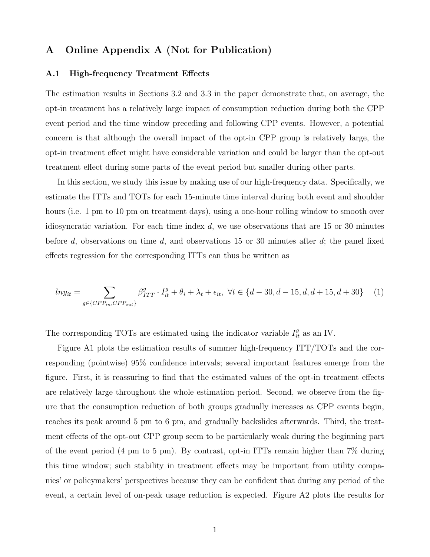# A Online Appendix A (Not for Publication)

## A.1 High-frequency Treatment Effects

The estimation results in Sections 3.2 and 3.3 in the paper demonstrate that, on average, the opt-in treatment has a relatively large impact of consumption reduction during both the CPP event period and the time window preceding and following CPP events. However, a potential concern is that although the overall impact of the opt-in CPP group is relatively large, the opt-in treatment effect might have considerable variation and could be larger than the opt-out treatment effect during some parts of the event period but smaller during other parts.

In this section, we study this issue by making use of our high-frequency data. Specifically, we estimate the ITTs and TOTs for each 15-minute time interval during both event and shoulder hours (i.e. 1 pm to 10 pm on treatment days), using a one-hour rolling window to smooth over idiosyncratic variation. For each time index  $d$ , we use observations that are 15 or 30 minutes before d, observations on time d, and observations 15 or 30 minutes after d; the panel fixed effects regression for the corresponding ITTs can thus be written as

$$
ln y_{it} = \sum_{g \in \{CPP_{in}, CPP_{out}\}} \beta_{ITT}^{g} \cdot I_{it}^{g} + \theta_i + \lambda_t + \epsilon_{it}, \ \forall t \in \{d - 30, d - 15, d, d + 15, d + 30\} \tag{1}
$$

The corresponding TOTs are estimated using the indicator variable  $I_{it}^g$  as an IV.

Figure A1 plots the estimation results of summer high-frequency ITT/TOTs and the corresponding (pointwise) 95% confidence intervals; several important features emerge from the figure. First, it is reassuring to find that the estimated values of the opt-in treatment effects are relatively large throughout the whole estimation period. Second, we observe from the figure that the consumption reduction of both groups gradually increases as CPP events begin, reaches its peak around 5 pm to 6 pm, and gradually backslides afterwards. Third, the treatment effects of the opt-out CPP group seem to be particularly weak during the beginning part of the event period (4 pm to 5 pm). By contrast, opt-in ITTs remain higher than 7% during this time window; such stability in treatment effects may be important from utility companies' or policymakers' perspectives because they can be confident that during any period of the event, a certain level of on-peak usage reduction is expected. Figure A2 plots the results for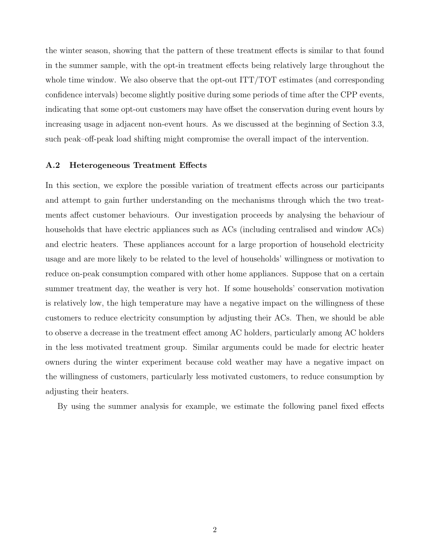the winter season, showing that the pattern of these treatment effects is similar to that found in the summer sample, with the opt-in treatment effects being relatively large throughout the whole time window. We also observe that the opt-out ITT/TOT estimates (and corresponding confidence intervals) become slightly positive during some periods of time after the CPP events, indicating that some opt-out customers may have offset the conservation during event hours by increasing usage in adjacent non-event hours. As we discussed at the beginning of Section 3.3, such peak–off-peak load shifting might compromise the overall impact of the intervention.

### A.2 Heterogeneous Treatment Effects

In this section, we explore the possible variation of treatment effects across our participants and attempt to gain further understanding on the mechanisms through which the two treatments affect customer behaviours. Our investigation proceeds by analysing the behaviour of households that have electric appliances such as ACs (including centralised and window ACs) and electric heaters. These appliances account for a large proportion of household electricity usage and are more likely to be related to the level of households' willingness or motivation to reduce on-peak consumption compared with other home appliances. Suppose that on a certain summer treatment day, the weather is very hot. If some households' conservation motivation is relatively low, the high temperature may have a negative impact on the willingness of these customers to reduce electricity consumption by adjusting their ACs. Then, we should be able to observe a decrease in the treatment effect among AC holders, particularly among AC holders in the less motivated treatment group. Similar arguments could be made for electric heater owners during the winter experiment because cold weather may have a negative impact on the willingness of customers, particularly less motivated customers, to reduce consumption by adjusting their heaters.

By using the summer analysis for example, we estimate the following panel fixed effects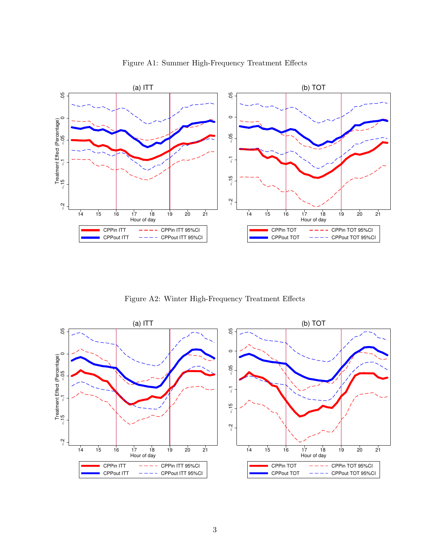

Figure A1: Summer High-Frequency Treatment Effects

Figure A2: Winter High-Frequency Treatment Effects

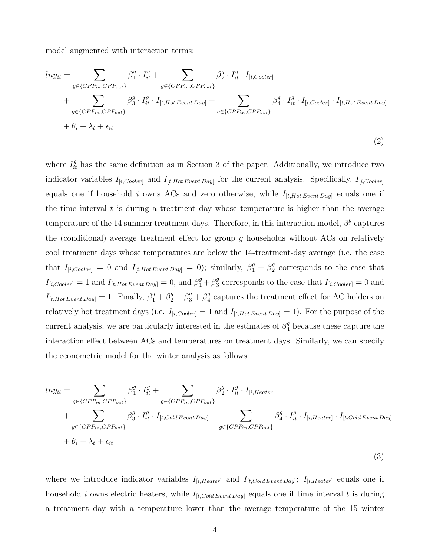model augmented with interaction terms:

$$
ln y_{it} = \sum_{g \in \{CPP_{in}, CPP_{out}\}} \beta_1^g \cdot I_{it}^g + \sum_{g \in \{CPP_{in}, CPP_{out}\}} \beta_2^g \cdot I_{it}^g \cdot I_{[i, Cooler]}^g
$$
  
+ 
$$
\sum_{g \in \{CPP_{in}, CPP_{out}\}} \beta_3^g \cdot I_{it}^g \cdot I_{[t, Hot Event Day]}^g + \sum_{g \in \{CPP_{in}, CPP_{out}\}} \beta_4^g \cdot I_{it}^g \cdot I_{[i, Cooler]} \cdot I_{[t, Hot Event Day]} + \theta_i + \lambda_t + \epsilon_{it}
$$
  
(2)

where  $I_{it}^{g}$  has the same definition as in Section 3 of the paper. Additionally, we introduce two indicator variables  $I_{[i, Cooler]}$  and  $I_{[t, Hot Event Day]}$  for the current analysis. Specifically,  $I_{[i, Cooler]}$ equals one if household i owns ACs and zero otherwise, while  $I_{[t,Hot EventDay]}$  equals one if the time interval  $t$  is during a treatment day whose temperature is higher than the average temperature of the 14 summer treatment days. Therefore, in this interaction model,  $\beta_1^g$  $\frac{g}{1}$  captures the (conditional) average treatment effect for group  $g$  households without ACs on relatively cool treatment days whose temperatures are below the 14-treatment-day average (i.e. the case that  $I_{[i, Cooler]} = 0$  and  $I_{[t, Hot Event Day]} = 0$ ; similarly,  $\beta_1^g + \beta_2^g$  $\frac{g}{2}$  corresponds to the case that  $I_{[i, Cooler]} = 1$  and  $I_{[t, Hot Event Day]} = 0$ , and  $\beta_1^g + \beta_3^g$ <sup>g</sup> corresponds to the case that  $I_{[i, Cooler]} = 0$  and  $I_{[t,Hot Event Day]} = 1. \text{ Finally, } \beta_1^g + \beta_2^g + \beta_3^g + \beta_4^g$  $\frac{g}{4}$  captures the treatment effect for AC holders on relatively hot treatment days (i.e.  $I_{[i, Cooler]} = 1$  and  $I_{[t, Hot Event Day]} = 1$ ). For the purpose of the current analysis, we are particularly interested in the estimates of  $\beta_4^g$  because these capture the interaction effect between ACs and temperatures on treatment days. Similarly, we can specify the econometric model for the winter analysis as follows:

$$
ln y_{it} = \sum_{g \in \{CPP_{in}, CPP_{out}\}} \beta_1^g \cdot I_{it}^g + \sum_{g \in \{CPP_{in}, CPP_{out}\}} \beta_2^g \cdot I_{it}^g \cdot I_{[i,Heater]} + \sum_{g \in \{CPP_{in}, CPP_{out}\}} \beta_3^g \cdot I_{it}^g \cdot I_{[t, Cold\,Event \, Day]} + \sum_{g \in \{CPP_{in}, CPP_{out}\}} \beta_4^g \cdot I_{it}^g \cdot I_{[i,Heater]} \cdot I_{[t, Cold\,Event \, Day]} + \theta_i + \lambda_t + \epsilon_{it}
$$
\n(3)

where we introduce indicator variables  $I_{[i,Heater]}$  and  $I_{[t,ColdEventDay]}$ ;  $I_{[i,Heater]}$  equals one if household i owns electric heaters, while  $I_{[t,ColdEvent Day]}$  equals one if time interval t is during a treatment day with a temperature lower than the average temperature of the 15 winter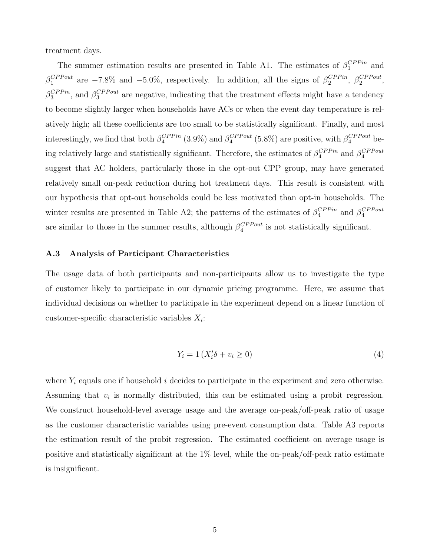treatment days.

The summer estimation results are presented in Table A1. The estimates of  $\beta_1^{CPPin}$  $_1^{CPPm}$  and  $\beta_1^{CPPout}$  $_1^{CPPout}$  are  $-7.8\%$  and  $-5.0\%$ , respectively. In addition, all the signs of  $\beta_2^{CPPin}$  $_2^{CPPin}, \ \beta_2^{CPPout}$  $^{CPPout}_{2}$  $\beta_3^{CPPin}$  $_3^{CPPin}$ , and  $\beta_3^{CPPout}$  $S_3^{CPPout}$  are negative, indicating that the treatment effects might have a tendency to become slightly larger when households have ACs or when the event day temperature is relatively high; all these coefficients are too small to be statistically significant. Finally, and most interestingly, we find that both  $\beta_4^{CPPin}$  $_4^{CPPin}$  (3.9%) and  $\beta_4^{CPPout}$  $_{4}^{CPPout}$  (5.8%) are positive, with  $\beta_{4}^{CPPout}$  being relatively large and statistically significant. Therefore, the estimates of  $\beta_4^{CPPin}$  $_4^{CPPin}$  and  $\beta_4^{CPPout}$ 4 suggest that AC holders, particularly those in the opt-out CPP group, may have generated relatively small on-peak reduction during hot treatment days. This result is consistent with our hypothesis that opt-out households could be less motivated than opt-in households. The winter results are presented in Table A2; the patterns of the estimates of  $\beta_4^{CPPin}$  $_4^{CPPin}$  and  $\beta_4^{CPPout}$ 4 are similar to those in the summer results, although  $\beta_4^{CPPout}$  $_{4}^{CPPout}$  is not statistically significant.

# A.3 Analysis of Participant Characteristics

The usage data of both participants and non-participants allow us to investigate the type of customer likely to participate in our dynamic pricing programme. Here, we assume that individual decisions on whether to participate in the experiment depend on a linear function of customer-specific characteristic variables  $X_i$ :

$$
Y_i = 1 \left( X_i' \delta + v_i \ge 0 \right) \tag{4}
$$

where  $Y_i$  equals one if household i decides to participate in the experiment and zero otherwise. Assuming that  $v_i$  is normally distributed, this can be estimated using a probit regression. We construct household-level average usage and the average on-peak/off-peak ratio of usage as the customer characteristic variables using pre-event consumption data. Table A3 reports the estimation result of the probit regression. The estimated coefficient on average usage is positive and statistically significant at the 1% level, while the on-peak/off-peak ratio estimate is insignificant.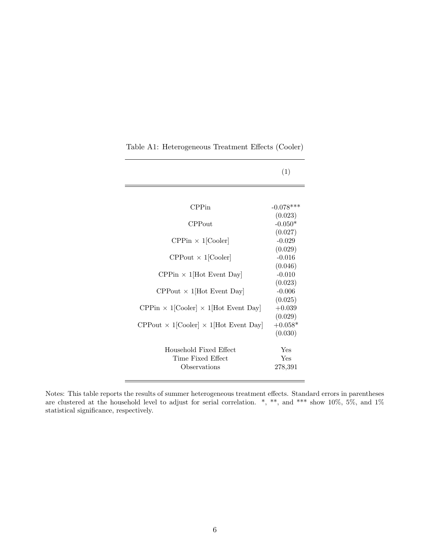|                                                                       | (1)         |
|-----------------------------------------------------------------------|-------------|
|                                                                       |             |
| CPPin                                                                 | $-0.078***$ |
|                                                                       | (0.023)     |
| CPPout                                                                | $-0.050*$   |
|                                                                       | (0.027)     |
| $CPPin \times 1$ [Cooler]                                             | $-0.029$    |
|                                                                       | (0.029)     |
| $CP$ Pout $\times$ 1[Cooler]                                          | $-0.016$    |
|                                                                       | (0.046)     |
| $\text{CPPin} \times 1[\text{Hot Event Day}]$                         | $-0.010$    |
|                                                                       | (0.023)     |
| $CP$ Pout $\times$ 1[Hot Event Day]                                   | $-0.006$    |
|                                                                       | (0.025)     |
| $\text{CPPin} \times 1[\text{Cooler}] \times 1[\text{Hot Event Day}]$ | $+0.039$    |
|                                                                       | (0.029)     |
| $CP$ Pout $\times$ 1[Cooler] $\times$ 1[Hot Event Day]                | $+0.058*$   |
|                                                                       | (0.030)     |
|                                                                       |             |
| Household Fixed Effect                                                | Yes         |
| Time Fixed Effect                                                     | Yes         |
| Observations                                                          | 278,391     |
|                                                                       |             |

Table A1: Heterogeneous Treatment Effects (Cooler)

Notes: This table reports the results of summer heterogeneous treatment effects. Standard errors in parentheses are clustered at the household level to adjust for serial correlation. \*, \*\*, and \*\*\* show 10%, 5%, and 1% statistical significance, respectively.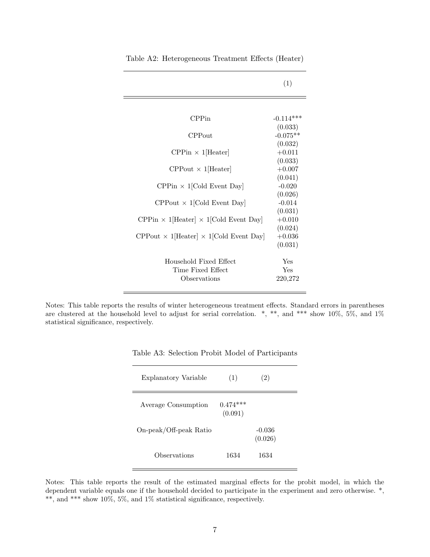|                                                         | (1)            |
|---------------------------------------------------------|----------------|
|                                                         |                |
| CPPin                                                   | $-0.114***$    |
|                                                         | (0.033)        |
| CPPout                                                  | $-0.075**$     |
|                                                         | (0.032)        |
| $CPPin \times 1$ [Heater]                               | $+0.011$       |
|                                                         | (0.033)        |
| $CP$ Pout $\times$ 1[Heater]                            | $+0.007$       |
|                                                         | (0.041)        |
| $\text{CPPin} \times 1[\text{Gold Event Day}]$          | $-0.020$       |
|                                                         | (0.026)        |
| $CP$ Pout $\times$ 1 [Cold Event Day]                   | $-0.014$       |
|                                                         | (0.031)        |
| $CPPin \times 1$ [Heater] $\times 1$ [Cold Event Day]   | $+0.010$       |
|                                                         | (0.024)        |
| $CP$ Pout $\times$ 1[Heater] $\times$ 1[Cold Event Day] | $+0.036$       |
|                                                         | (0.031)        |
|                                                         |                |
| Household Fixed Effect                                  | Yes            |
| Time Fixed Effect<br>Observations                       | Yes<br>220,272 |
|                                                         |                |

Table A2: Heterogeneous Treatment Effects (Heater)

Notes: This table reports the results of winter heterogeneous treatment effects. Standard errors in parentheses are clustered at the household level to adjust for serial correlation. \*, \*\*, and \*\*\* show 10%, 5%, and 1% statistical significance, respectively.

| Explanatory Variable   | (1)                   | (2)                 |
|------------------------|-----------------------|---------------------|
| Average Consumption    | $0.474***$<br>(0.091) |                     |
| On-peak/Off-peak Ratio |                       | $-0.036$<br>(0.026) |
| Observations           | 1634                  | 1634                |

Notes: This table reports the result of the estimated marginal effects for the probit model, in which the dependent variable equals one if the household decided to participate in the experiment and zero otherwise. \*,  $^{**}$  , and  $^{***}$  show 10%, 5%, and 1% statistical significance, respectively.